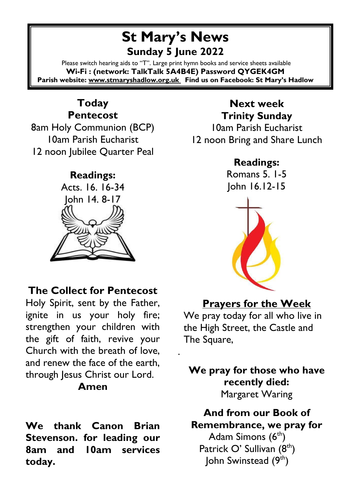# **St Mary's News Sunday 5 June 2022**

Please switch hearing aids to "T". Large print hymn books and service sheets available **Wi-Fi : (network: TalkTalk 5A4B4E) Password QYGEK4GM Parish website[: www.stmaryshadlow.org.uk](http://www.stmaryshadlow.org.uk/) Find us on Facebook: St Mary's Hadlow**

.

### **Today Pentecost**

8am Holy Communion (BCP) 10am Parish Eucharist 12 noon Jubilee Quarter Peal

#### **Readings:** Acts. 16. 16-34



#### **The Collect for Pentecost**

Holy Spirit, sent by the Father, ignite in us your holy fire; strengthen your children with the gift of faith, revive your Church with the breath of love, and renew the face of the earth, through Jesus Christ our Lord.

#### **Amen**

**We thank Canon Brian Stevenson. for leading our 8am and 10am services today.** 

#### **Next week Trinity Sunday** 10am Parish Eucharist 12 noon Bring and Share Lunch

#### **Readings:**

Romans 5. 1-5 John 16.12-15



### **Prayers for the Week**

We pray today for all who live in the High Street, the Castle and The Square,

**We pray for those who have recently died:** Margaret Waring

**And from our Book of Remembrance, we pray for** Adam Simons (6<sup>th</sup>) Patrick O' Sullivan (8<sup>th</sup>) John Swinstead (9<sup>th</sup>)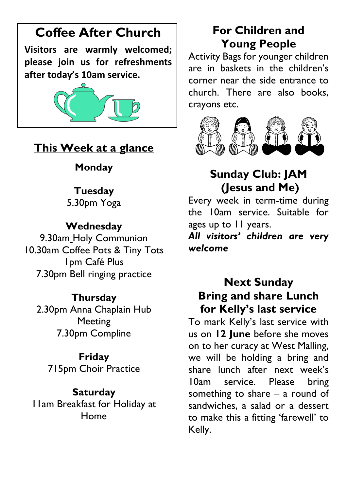# **Coffee After Church**

**Visitors are warmly welcomed; please join us for refreshments after today's 10am service.**



## **This Week at a glance**

### **Monday**

#### **Tuesday**

5.30pm Yoga

### **Wednesday**

9.30am Holy Communion 10.30am Coffee Pots & Tiny Tots 1pm Café Plus 7.30pm Bell ringing practice

### **Thursday**

2.30pm Anna Chaplain Hub Meeting 7.30pm Compline

#### **Friday**

715pm Choir Practice

#### **Saturday**

11am Breakfast for Holiday at Home

# **For Children and Young People**

Activity Bags for younger children are in baskets in the children's corner near the side entrance to church. There are also books, crayons etc.



# **Sunday Club: JAM (Jesus and Me)**

Every week in term-time during the 10am service. Suitable for ages up to 11 years.

*All visitors' children are very welcome*

### **Next Sunday Bring and share Lunch for Kelly's last service**

To mark Kelly's last service with us on **12 June** before she moves on to her curacy at West Malling, we will be holding a bring and share lunch after next week's 10am service. Please bring something to share – a round of sandwiches, a salad or a dessert to make this a fitting 'farewell' to Kelly.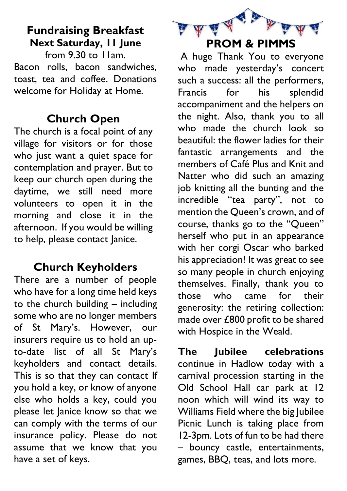## **Fundraising Breakfast Next Saturday, 11 June**

from 9.30 to 11am. Bacon rolls, bacon sandwiches, toast, tea and coffee. Donations welcome for Holiday at Home.

#### **Church Open**

The church is a focal point of any village for visitors or for those who just want a quiet space for contemplation and prayer. But to keep our church open during the daytime, we still need more volunteers to open it in the morning and close it in the afternoon. If you would be willing to help, please contact Janice.

#### **Church Keyholders**

There are a number of people who have for a long time held keys to the church building – including some who are no longer members of St Mary's. However, our insurers require us to hold an upto-date list of all St Mary's keyholders and contact details. This is so that they can contact If you hold a key, or know of anyone else who holds a key, could you please let Janice know so that we can comply with the terms of our insurance policy. Please do not assume that we know that you have a set of keys.



A huge Thank You to everyone who made yesterday's concert such a success: all the performers, Francis for his splendid accompaniment and the helpers on the night. Also, thank you to all who made the church look so beautiful: the flower ladies for their fantastic arrangements and the members of Café Plus and Knit and Natter who did such an amazing iob knitting all the bunting and the incredible "tea party", not to mention the Queen's crown, and of course, thanks go to the "Queen" herself who put in an appearance with her corgi Oscar who barked his appreciation! It was great to see so many people in church enjoying themselves. Finally, thank you to those who came for their generosity: the retiring collection: made over £800 profit to be shared with Hospice in the Weald.

**The Jubilee celebrations**  continue in Hadlow today with a carnival procession starting in the Old School Hall car park at 12 noon which will wind its way to Williams Field where the big Jubilee Picnic Lunch is taking place from 12-3pm. Lots of fun to be had there – bouncy castle, entertainments, games, BBQ, teas, and lots more.